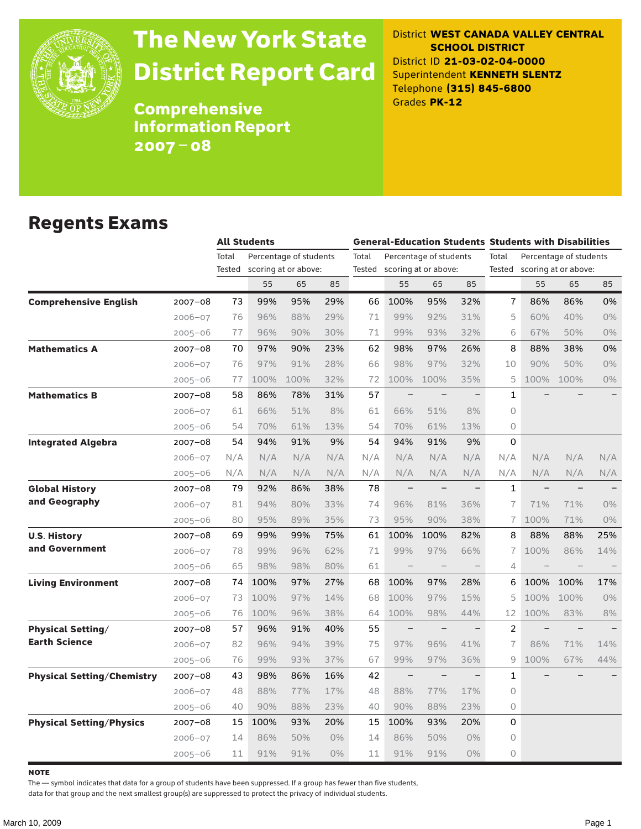

# The New York State District Report Card

District **WEST CANADA VALLEY CENTRAL SCHOOL DISTRICT** District ID **21-03-02-04-0000** Superintendent **KENNETH SLENTZ** Telephone **(315) 845-6800** Grades **PK-12**

Comprehensive Information Report 2007–08

### Regents Exams

|                                              |        | <b>All Students</b> |                        |       | <b>General-Education Students Students with Disabilities</b> |                   |                          |                          |                |                          |                        |                          |
|----------------------------------------------|--------|---------------------|------------------------|-------|--------------------------------------------------------------|-------------------|--------------------------|--------------------------|----------------|--------------------------|------------------------|--------------------------|
|                                              | Total  |                     | Percentage of students |       | Total                                                        |                   | Percentage of students   |                          | Total          |                          | Percentage of students |                          |
|                                              | Tested |                     | scoring at or above:   |       | Tested                                                       |                   | scoring at or above:     |                          | Tested         |                          | scoring at or above:   |                          |
|                                              |        | 55                  | 65                     | 85    |                                                              | 55                | 65                       | 85                       |                | 55                       | 65                     | 85                       |
| <b>Comprehensive English</b><br>$2007 - 08$  | 73     | 99%                 | 95%                    | 29%   | 66                                                           | 100%              | 95%                      | 32%                      | 7              | 86%                      | 86%                    | 0%                       |
| $2006 - 07$                                  | 76     | 96%                 | 88%                    | 29%   | 71                                                           | 99%               | 92%                      | 31%                      | 5              | 60%                      | 40%                    | 0%                       |
| $2005 - 06$                                  | 77     | 96%                 | 90%                    | 30%   | 71                                                           | 99%               | 93%                      | 32%                      | 6              | 67%                      | 50%                    | 0%                       |
| <b>Mathematics A</b><br>$2007 - 08$          | 70     | 97%                 | 90%                    | 23%   | 62                                                           | 98%               | 97%                      | 26%                      | 8              | 88%                      | 38%                    | 0%                       |
| $2006 - 07$                                  | 76     | 97%                 | 91%                    | 28%   | 66                                                           | 98%               | 97%                      | 32%                      | 10             | 90%                      | 50%                    | 0%                       |
| $2005 - 06$                                  | 77     | 100%                | 100%                   | 32%   | 72                                                           | 100%              | 100%                     | 35%                      | 5              | 100%                     | 100%                   | $0\%$                    |
| <b>Mathematics B</b><br>$2007 - 08$          | 58     | 86%                 | 78%                    | 31%   | 57                                                           |                   |                          |                          | $\mathbf{1}$   |                          |                        |                          |
| $2006 - 07$                                  | 61     | 66%                 | 51%                    | 8%    | 61                                                           | 66%               | 51%                      | 8%                       | 0              |                          |                        |                          |
| $2005 - 06$                                  | 54     | 70%                 | 61%                    | 13%   | 54                                                           | 70%               | 61%                      | 13%                      | 0              |                          |                        |                          |
| <b>Integrated Algebra</b><br>2007-08         | 54     | 94%                 | 91%                    | 9%    | 54                                                           | 94%               | 91%                      | 9%                       | 0              |                          |                        |                          |
| $2006 - 07$                                  | N/A    | N/A                 | N/A                    | N/A   | N/A                                                          | N/A               | N/A                      | N/A                      | N/A            | N/A                      | N/A                    | N/A                      |
| $2005 - 06$                                  | N/A    | N/A                 | N/A                    | N/A   | N/A                                                          | N/A               | N/A                      | N/A                      | N/A            | N/A                      | N/A                    | N/A                      |
| <b>Global History</b><br>2007-08             | 79     | 92%                 | 86%                    | 38%   | 78                                                           | $\qquad \qquad -$ |                          | $\overline{\phantom{0}}$ | 1              | $\overline{\phantom{0}}$ | $\equiv$               |                          |
| and Geography<br>$2006 - 07$                 | 81     | 94%                 | 80%                    | 33%   | 74                                                           | 96%               | 81%                      | 36%                      | $\overline{1}$ | 71%                      | 71%                    | 0%                       |
| $2005 - 06$                                  | 80     | 95%                 | 89%                    | 35%   | 73                                                           | 95%               | 90%                      | 38%                      | $\overline{1}$ | 100%                     | 71%                    | 0%                       |
| <b>U.S. History</b><br>$2007 - 08$           | 69     | 99%                 | 99%                    | 75%   | 61                                                           | 100%              | 100%                     | 82%                      | 8              | 88%                      | 88%                    | 25%                      |
| and Government<br>$2006 - 07$                | 78     | 99%                 | 96%                    | 62%   | 71                                                           | 99%               | 97%                      | 66%                      | 7              | 100%                     | 86%                    | 14%                      |
| $2005 - 06$                                  | 65     | 98%                 | 98%                    | 80%   | 61                                                           | $\qquad \qquad -$ |                          |                          | 4              |                          |                        |                          |
| <b>Living Environment</b><br>2007-08         | 74     | 100%                | 97%                    | 27%   | 68                                                           | 100%              | 97%                      | 28%                      | 6              | 100%                     | 100%                   | 17%                      |
| $2006 - 07$                                  | 73     | 100%                | 97%                    | 14%   | 68                                                           | 100%              | 97%                      | 15%                      | 5              | 100%                     | 100%                   | 0%                       |
| $2005 - 06$                                  | 76     | 100%                | 96%                    | 38%   | 64                                                           | 100%              | 98%                      | 44%                      | 12             | 100%                     | 83%                    | 8%                       |
| <b>Physical Setting/</b><br>$2007 - 08$      | 57     | 96%                 | 91%                    | 40%   | 55                                                           | $\qquad \qquad -$ | $\overline{\phantom{0}}$ | $\overline{\phantom{0}}$ | $\overline{2}$ |                          |                        | $\overline{\phantom{0}}$ |
| <b>Earth Science</b><br>$2006 - 07$          | 82     | 96%                 | 94%                    | 39%   | 75                                                           | 97%               | 96%                      | 41%                      | 7              | 86%                      | 71%                    | 14%                      |
| $2005 - 06$                                  | 76     | 99%                 | 93%                    | 37%   | 67                                                           | 99%               | 97%                      | 36%                      | 9              | 100%                     | 67%                    | 44%                      |
| <b>Physical Setting/Chemistry</b><br>2007-08 | 43     | 98%                 | 86%                    | 16%   | 42                                                           |                   | $\overline{\phantom{0}}$ |                          | $\mathbf{1}$   |                          |                        |                          |
| $2006 - 07$                                  | 48     | 88%                 | 77%                    | 17%   | 48                                                           | 88%               | 77%                      | 17%                      | $\Omega$       |                          |                        |                          |
| $2005 - 06$                                  | 40     | 90%                 | 88%                    | 23%   | 40                                                           | 90%               | 88%                      | 23%                      | 0              |                          |                        |                          |
| <b>Physical Setting/Physics</b><br>2007-08   | 15     | 100%                | 93%                    | 20%   | 15                                                           | 100%              | 93%                      | 20%                      | 0              |                          |                        |                          |
| $2006 - 07$                                  | 14     | 86%                 | 50%                    | 0%    | 14                                                           | 86%               | 50%                      | 0%                       | 0              |                          |                        |                          |
| $2005 - 06$                                  | 11     | 91%                 | 91%                    | $0\%$ | 11                                                           | 91%               | 91%                      | $0\%$                    | $\Omega$       |                          |                        |                          |

**NOTE** 

The — symbol indicates that data for a group of students have been suppressed. If a group has fewer than five students,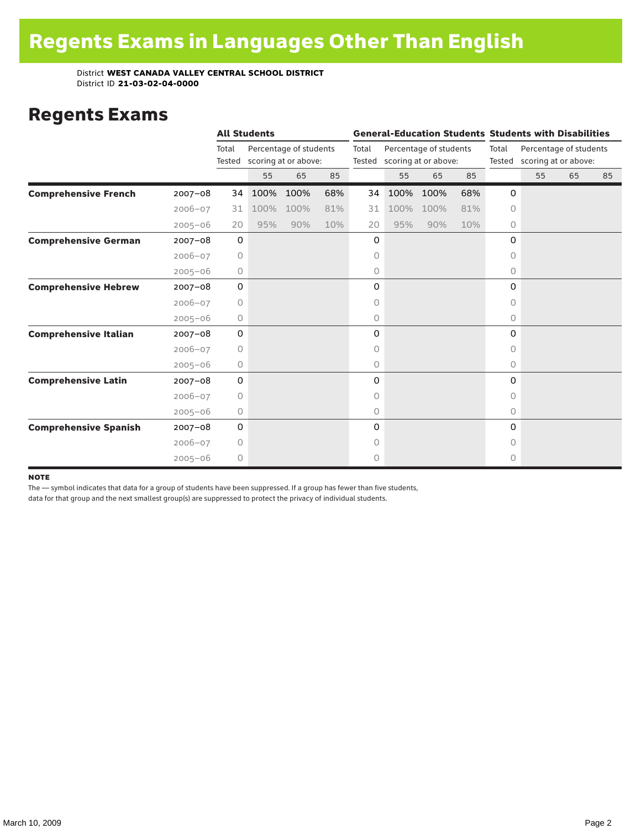### Regents Exams

|                              |             |                 | <b>All Students</b> |                                                |     |                 |                                                |      |                 |                                                | <b>General-Education Students Students with Disabilities</b> |    |    |  |
|------------------------------|-------------|-----------------|---------------------|------------------------------------------------|-----|-----------------|------------------------------------------------|------|-----------------|------------------------------------------------|--------------------------------------------------------------|----|----|--|
|                              |             | Total<br>Tested |                     | Percentage of students<br>scoring at or above: |     | Total<br>Tested | Percentage of students<br>scoring at or above: |      | Total<br>Tested | Percentage of students<br>scoring at or above: |                                                              |    |    |  |
|                              |             |                 | 55                  | 65                                             | 85  |                 | 55                                             | 65   | 85              |                                                | 55                                                           | 65 | 85 |  |
| <b>Comprehensive French</b>  | $2007 - 08$ | 34              | 100%                | 100%                                           | 68% | 34              | 100%                                           | 100% | 68%             | 0                                              |                                                              |    |    |  |
|                              | $2006 - 07$ | 31              | 100%                | 100%                                           | 81% | 31              | 100%                                           | 100% | 81%             | 0                                              |                                                              |    |    |  |
|                              | $2005 - 06$ | 20              | 95%                 | 90%                                            | 10% | 20              | 95%                                            | 90%  | 10%             | 0                                              |                                                              |    |    |  |
| <b>Comprehensive German</b>  | $2007 - 08$ | $\mathsf{O}$    |                     |                                                |     | 0               |                                                |      |                 | 0                                              |                                                              |    |    |  |
|                              | $2006 - 07$ | $\circ$         |                     |                                                |     | 0               |                                                |      |                 | O                                              |                                                              |    |    |  |
|                              | $2005 - 06$ | 0               |                     |                                                |     | 0               |                                                |      |                 | 0                                              |                                                              |    |    |  |
| <b>Comprehensive Hebrew</b>  | $2007 - 08$ | $\mathbf 0$     |                     |                                                |     | 0               |                                                |      |                 | 0                                              |                                                              |    |    |  |
|                              | $2006 - 07$ | 0               |                     |                                                |     | 0               |                                                |      |                 | 0                                              |                                                              |    |    |  |
|                              | $2005 - 06$ | 0               |                     |                                                |     | 0               |                                                |      |                 | $\circ$                                        |                                                              |    |    |  |
| <b>Comprehensive Italian</b> | $2007 - 08$ | 0               |                     |                                                |     | 0               |                                                |      |                 | 0                                              |                                                              |    |    |  |
|                              | $2006 - 07$ | 0               |                     |                                                |     | 0               |                                                |      |                 | $\Omega$                                       |                                                              |    |    |  |
|                              | $2005 - 06$ | $\circ$         |                     |                                                |     | 0               |                                                |      |                 | $\circ$                                        |                                                              |    |    |  |
| <b>Comprehensive Latin</b>   | $2007 - 08$ | 0               |                     |                                                |     | 0               |                                                |      |                 | 0                                              |                                                              |    |    |  |
|                              | $2006 - 07$ | 0               |                     |                                                |     | 0               |                                                |      |                 | 0                                              |                                                              |    |    |  |
|                              | $2005 - 06$ | $\circ$         |                     |                                                |     | 0               |                                                |      |                 | $\circ$                                        |                                                              |    |    |  |
| <b>Comprehensive Spanish</b> | $2007 - 08$ | $\mathsf{O}$    |                     |                                                |     | 0               |                                                |      |                 | 0                                              |                                                              |    |    |  |
|                              | $2006 - 07$ | 0               |                     |                                                |     | 0               |                                                |      |                 | 0                                              |                                                              |    |    |  |
|                              | $2005 - 06$ | 0               |                     |                                                |     | 0               |                                                |      |                 | 0                                              |                                                              |    |    |  |

#### note

The — symbol indicates that data for a group of students have been suppressed. If a group has fewer than five students,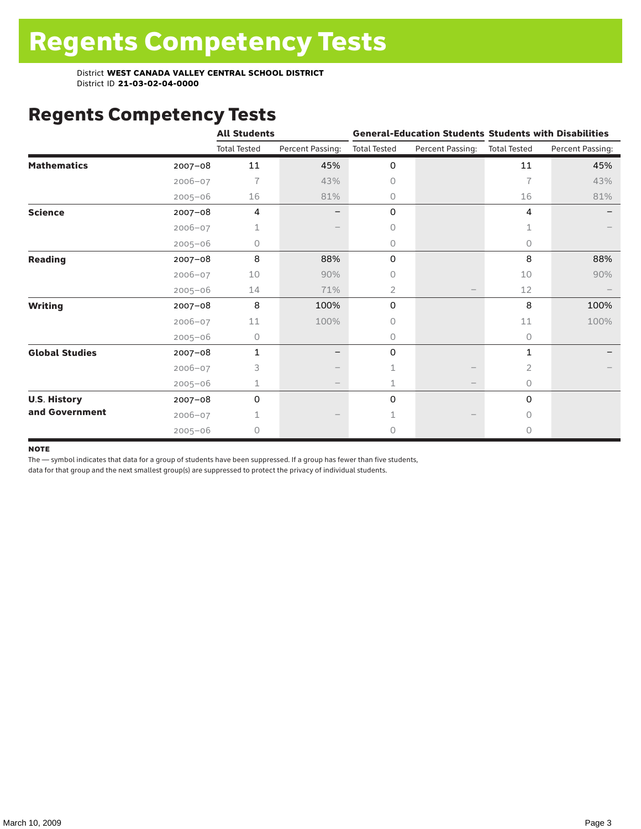# Regents Competency Tests

|                       |             | <b>All Students</b> |                  |                     |                   | <b>General-Education Students Students with Disabilities</b> |                  |  |
|-----------------------|-------------|---------------------|------------------|---------------------|-------------------|--------------------------------------------------------------|------------------|--|
|                       |             | <b>Total Tested</b> | Percent Passing: | <b>Total Tested</b> | Percent Passing:  | <b>Total Tested</b>                                          | Percent Passing: |  |
| <b>Mathematics</b>    | $2007 - 08$ | 11                  | 45%              | 0                   |                   | 11                                                           | 45%              |  |
|                       | $2006 - 07$ | 7                   | 43%              | 0                   |                   | $\overline{1}$                                               | 43%              |  |
|                       | $2005 - 06$ | 16                  | 81%              | 0                   |                   | 16                                                           | 81%              |  |
| <b>Science</b>        | $2007 - 08$ | 4                   |                  | 0                   |                   | 4                                                            |                  |  |
|                       | $2006 - 07$ | 1                   |                  | 0                   |                   |                                                              |                  |  |
|                       | $2005 - 06$ | 0                   |                  | 0                   |                   | 0                                                            |                  |  |
| <b>Reading</b>        | $2007 - 08$ | 8                   | 88%              | 0                   |                   | 8                                                            | 88%              |  |
|                       | $2006 - 07$ | 10                  | 90%              | 0                   |                   | 10                                                           | 90%              |  |
|                       | $2005 - 06$ | 14                  | 71%              | $\overline{2}$      |                   | 12                                                           |                  |  |
| <b>Writing</b>        | $2007 - 08$ | 8                   | 100%             | 0                   |                   | 8                                                            | 100%             |  |
|                       | $2006 - 07$ | 11                  | 100%             | 0                   |                   | 11                                                           | 100%             |  |
|                       | $2005 - 06$ | 0                   |                  | 0                   |                   | $\circ$                                                      |                  |  |
| <b>Global Studies</b> | $2007 - 08$ | $\mathbf{1}$        |                  | 0                   |                   | 1                                                            |                  |  |
|                       | $2006 - 07$ | 3                   |                  | 1                   |                   | 2                                                            |                  |  |
|                       | $2005 - 06$ | 1                   |                  | 1                   | $\qquad \qquad -$ | $\circ$                                                      |                  |  |
| <b>U.S. History</b>   | $2007 - 08$ | 0                   |                  | 0                   |                   | 0                                                            |                  |  |
| and Government        | $2006 - 07$ |                     |                  |                     |                   | $\bigcap$                                                    |                  |  |
|                       | $2005 - 06$ | 0                   |                  | 0                   |                   | $\circ$                                                      |                  |  |

#### **NOTE**

The — symbol indicates that data for a group of students have been suppressed. If a group has fewer than five students,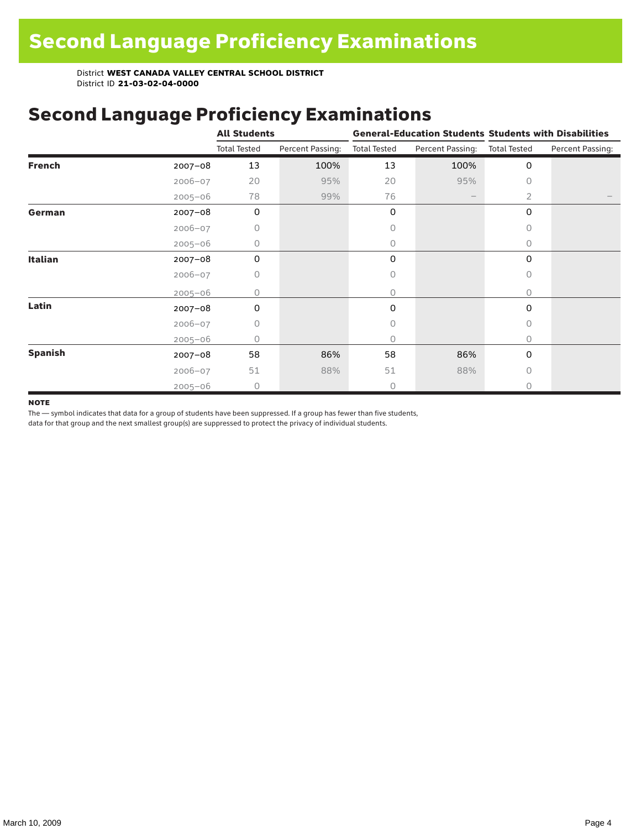### Second Language Proficiency Examinations

|                |             | <b>All Students</b> |                  | <b>General-Education Students Students with Disabilities</b> |                          |                     |                  |
|----------------|-------------|---------------------|------------------|--------------------------------------------------------------|--------------------------|---------------------|------------------|
|                |             | <b>Total Tested</b> | Percent Passing: | <b>Total Tested</b>                                          | Percent Passing:         | <b>Total Tested</b> | Percent Passing: |
| <b>French</b>  | $2007 - 08$ | 13                  | 100%             | 13                                                           | 100%                     | 0                   |                  |
|                | $2006 - 07$ | 20                  | 95%              | 20                                                           | 95%                      | 0                   |                  |
|                | $2005 - 06$ | 78                  | 99%              | 76                                                           | $\overline{\phantom{m}}$ | 2                   |                  |
| German         | $2007 - 08$ | $\mathbf 0$         |                  | 0                                                            |                          | 0                   |                  |
|                | $2006 - 07$ | 0                   |                  | 0                                                            |                          | $\bigcap$           |                  |
|                | $2005 - 06$ | 0                   |                  | 0                                                            |                          | 0                   |                  |
| <b>Italian</b> | $2007 - 08$ | 0                   |                  | 0                                                            |                          | 0                   |                  |
|                | $2006 - 07$ | 0                   |                  | 0                                                            |                          | 0                   |                  |
|                | $2005 - 06$ | 0                   |                  | 0                                                            |                          | $\Omega$            |                  |
| Latin          | $2007 - 08$ | 0                   |                  | 0                                                            |                          | $\Omega$            |                  |
|                | $2006 - 07$ | 0                   |                  | 0                                                            |                          | O                   |                  |
|                | $2005 - 06$ | Ω                   |                  | 0                                                            |                          | 0                   |                  |
| <b>Spanish</b> | $2007 - 08$ | 58                  | 86%              | 58                                                           | 86%                      | 0                   |                  |
|                | $2006 - 07$ | 51                  | 88%              | 51                                                           | 88%                      | $\bigcap$           |                  |
|                | $2005 - 06$ | $\circ$             |                  | 0                                                            |                          | O                   |                  |

#### **NOTE**

The — symbol indicates that data for a group of students have been suppressed. If a group has fewer than five students,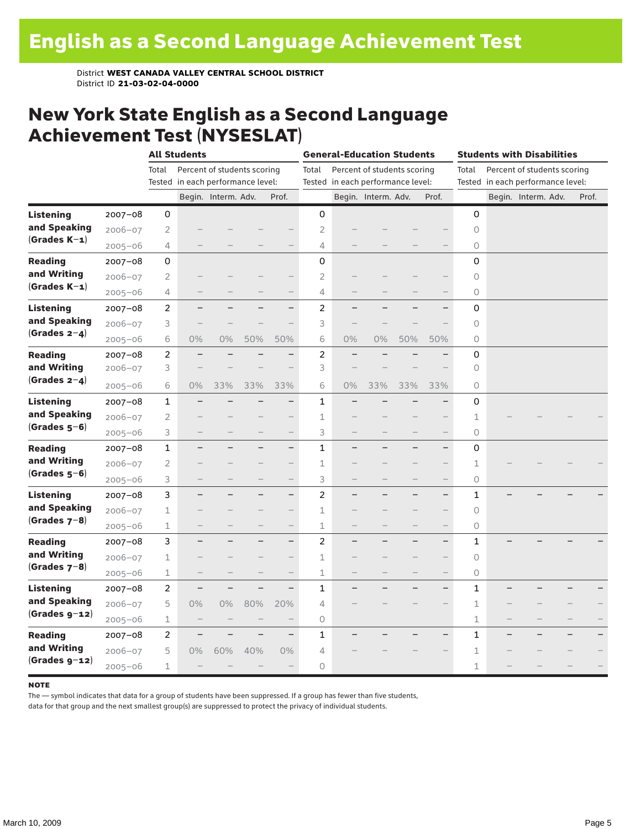#### New York State English as a Second Language Achievement Test (NYSESLAT)

|                  |             |                | <b>All Students</b>               |                     |                             | <b>General-Education Students</b> |                |                                   |                             | <b>Students with Disabilities</b> |                          |             |  |                                   |  |       |
|------------------|-------------|----------------|-----------------------------------|---------------------|-----------------------------|-----------------------------------|----------------|-----------------------------------|-----------------------------|-----------------------------------|--------------------------|-------------|--|-----------------------------------|--|-------|
|                  |             | Total          |                                   |                     | Percent of students scoring |                                   | Total          |                                   | Percent of students scoring |                                   |                          | Total       |  | Percent of students scoring       |  |       |
|                  |             |                | Tested in each performance level: |                     |                             |                                   |                | Tested in each performance level: |                             |                                   |                          |             |  | Tested in each performance level: |  |       |
|                  |             |                |                                   | Begin. Interm. Adv. |                             | Prof.                             |                |                                   | Begin. Interm. Adv.         |                                   | Prof.                    |             |  | Begin. Interm. Adv.               |  | Prof. |
| <b>Listening</b> | $2007 - 08$ | 0              |                                   |                     |                             |                                   | 0              |                                   |                             |                                   |                          | 0           |  |                                   |  |       |
| and Speaking     | $2006 - 07$ | 2              |                                   |                     |                             |                                   | $\overline{2}$ |                                   |                             |                                   |                          | $\circ$     |  |                                   |  |       |
| $(Grades K-1)$   | $2005 - 06$ | 4              |                                   |                     |                             |                                   | 4              |                                   |                             |                                   |                          | 0           |  |                                   |  |       |
| <b>Reading</b>   | $2007 - 08$ | 0              |                                   |                     |                             |                                   | 0              |                                   |                             |                                   |                          | 0           |  |                                   |  |       |
| and Writing      | $2006 - 07$ | 2              |                                   |                     |                             | -                                 | $\overline{2}$ |                                   |                             |                                   |                          | 0           |  |                                   |  |       |
| $(Grades K-1)$   | $2005 - 06$ | 4              |                                   |                     |                             | $\qquad \qquad -$                 | 4              |                                   |                             |                                   | $\overline{\phantom{0}}$ | 0           |  |                                   |  |       |
| Listening        | $2007 - 08$ | 2              | -                                 |                     |                             | $\overline{\phantom{0}}$          | 2              | -                                 |                             |                                   | $\overline{\phantom{0}}$ | 0           |  |                                   |  |       |
| and Speaking     | $2006 - 07$ | 3              |                                   |                     |                             |                                   | 3              |                                   |                             |                                   |                          | 0           |  |                                   |  |       |
| $(Grades 2-4)$   | $2005 - 06$ | 6              | $0\%$                             | 0%                  | 50%                         | 50%                               | 6              | 0%                                | $0\%$                       | 50%                               | 50%                      | 0           |  |                                   |  |       |
| <b>Reading</b>   | $2007 - 08$ | $\overline{c}$ |                                   |                     |                             | $\overline{\phantom{0}}$          | $\overline{c}$ |                                   |                             |                                   | $\overline{\phantom{0}}$ | 0           |  |                                   |  |       |
| and Writing      | 2006-07     | 3              |                                   |                     |                             |                                   | 3              |                                   |                             |                                   |                          | 0           |  |                                   |  |       |
| (Grades $2-4$ )  | $2005 - 06$ | 6              | $0\%$                             | 33%                 | 33%                         | 33%                               | 6              | 0%                                | 33%                         | 33%                               | 33%                      | 0           |  |                                   |  |       |
| <b>Listening</b> | $2007 - 08$ | $\mathbf{1}$   |                                   |                     |                             | -                                 | $\mathbf{1}$   |                                   |                             |                                   | $\overline{\phantom{0}}$ | 0           |  |                                   |  |       |
| and Speaking     | $2006 - 07$ | 2              |                                   |                     |                             | $\qquad \qquad -$                 | $\mathbf 1$    |                                   |                             |                                   | $\qquad \qquad -$        | 1           |  |                                   |  |       |
| $(Grades 5-6)$   | $2005 - 06$ | 3              |                                   |                     |                             | $\overline{\phantom{0}}$          | 3              |                                   |                             |                                   | $\qquad \qquad -$        | 0           |  |                                   |  |       |
| <b>Reading</b>   | $2007 - 08$ | 1              | —                                 |                     | -                           | $\overline{\phantom{0}}$          | $\mathbf{1}$   |                                   |                             | -                                 | $\qquad \qquad -$        | 0           |  |                                   |  |       |
| and Writing      | $2006 - 07$ | 2              |                                   |                     |                             | $\overline{\phantom{0}}$          | 1              |                                   |                             |                                   |                          | $\mathbf 1$ |  |                                   |  |       |
| $(Grades 5-6)$   | $2005 - 06$ | 3              |                                   |                     | $\qquad \qquad -$           | $\qquad \qquad -$                 | 3              | $\qquad \qquad -$                 | $\overline{\phantom{0}}$    | $\overline{\phantom{0}}$          | $\overline{\phantom{0}}$ | 0           |  |                                   |  |       |
| <b>Listening</b> | $2007 - 08$ | 3              |                                   |                     |                             | $\qquad \qquad -$                 | 2              |                                   |                             |                                   | $\qquad \qquad -$        | 1           |  |                                   |  |       |
| and Speaking     | $2006 - 07$ | $\mathbf 1$    |                                   |                     |                             | $\overline{\phantom{0}}$          | $\mathbf 1$    |                                   |                             |                                   | $\qquad \qquad -$        | $\circ$     |  |                                   |  |       |
| (Grades $7-8$ )  | $2005 - 06$ | 1              |                                   |                     | $\qquad \qquad$             | $\qquad \qquad -$                 | 1              | $\qquad \qquad - \qquad \qquad$   |                             | -                                 | $\overline{\phantom{0}}$ | 0           |  |                                   |  |       |
| <b>Reading</b>   | $2007 - 08$ | 3              |                                   |                     |                             | $\overline{\phantom{0}}$          | $\overline{2}$ |                                   |                             |                                   | $\overline{\phantom{0}}$ | 1           |  |                                   |  |       |
| and Writing      | $2006 - 07$ | 1              |                                   |                     |                             | $\qquad \qquad -$                 | 1              |                                   |                             |                                   | $\overline{\phantom{0}}$ | 0           |  |                                   |  |       |
| $(Grades 7-8)$   | $2005 - 06$ | 1              |                                   |                     |                             | $\overline{\phantom{0}}$          | 1              |                                   |                             |                                   | $\overline{\phantom{0}}$ | 0           |  |                                   |  |       |
| <b>Listening</b> | $2007 - 08$ | 2              | $\overline{\phantom{0}}$          |                     | $\overline{\phantom{0}}$    | $\overline{\phantom{0}}$          | 1              |                                   |                             |                                   | $\qquad \qquad -$        | 1           |  |                                   |  |       |
| and Speaking     | $2006 - 07$ | 5              | $0\%$                             | 0%                  | 80%                         | 20%                               | 4              |                                   |                             |                                   |                          | $1\,$       |  |                                   |  |       |
| $(Grades g-12)$  | $2005 - 06$ | $\mathbf 1$    | $\qquad \qquad -$                 |                     |                             | $\qquad \qquad -$                 | 0              |                                   |                             |                                   |                          | 1           |  |                                   |  |       |
| <b>Reading</b>   | $2007 - 08$ | 2              |                                   |                     |                             | $\qquad \qquad -$                 | 1              |                                   |                             |                                   |                          | 1           |  |                                   |  |       |
| and Writing      | $2006 - 07$ | 5              | $0\%$                             | 60%                 | 40%                         | 0%                                | 4              |                                   |                             |                                   |                          | $\mathbf 1$ |  |                                   |  |       |
| $(Grades g-12)$  | $2005 - 06$ | 1              |                                   |                     |                             | $\qquad \qquad -$                 | 0              |                                   |                             |                                   |                          | 1           |  |                                   |  |       |

#### **NOTE**

The — symbol indicates that data for a group of students have been suppressed. If a group has fewer than five students,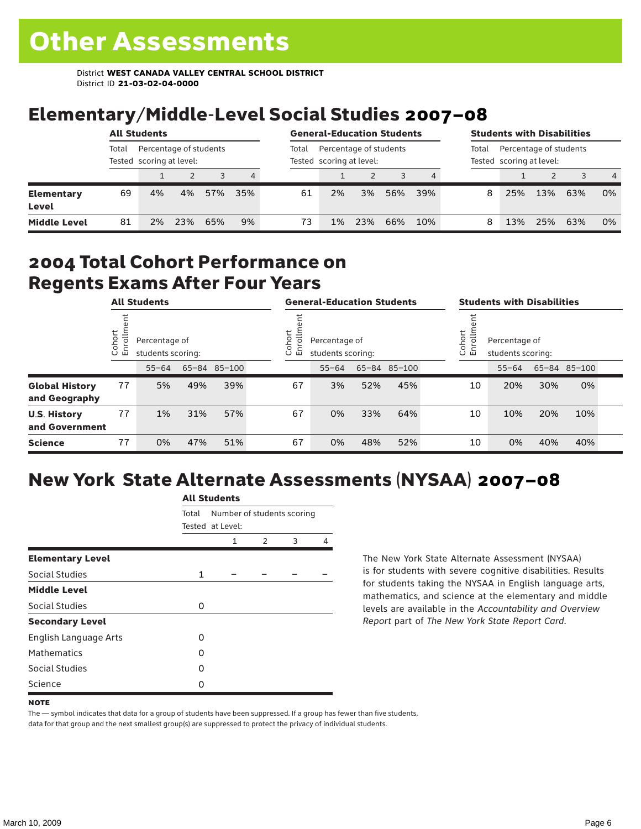# Elementary/Middle-Level Social Studies 2007–08

| <b>All Students</b>        |       |                                                    |     |     | <b>General-Education Students</b> |       |                                                    |     |     | <b>Students with Disabilities</b> |       |                                                    |     |     |                |
|----------------------------|-------|----------------------------------------------------|-----|-----|-----------------------------------|-------|----------------------------------------------------|-----|-----|-----------------------------------|-------|----------------------------------------------------|-----|-----|----------------|
|                            | Total | Percentage of students<br>Tested scoring at level: |     |     |                                   | Total | Percentage of students<br>Tested scoring at level: |     |     |                                   | Total | Percentage of students<br>Tested scoring at level: |     |     |                |
|                            |       |                                                    |     |     | 4                                 |       |                                                    |     |     |                                   |       |                                                    |     |     | $\overline{4}$ |
| <b>Elementary</b><br>Level | 69    | 4%                                                 | 4%  | 57% | 35%                               | 61    | 2%                                                 | 3%  | 56% | 39%                               | 8     | 25%                                                | 13% | 63% | 0%             |
| <b>Middle Level</b>        | 81    | 2%                                                 | 23% | 65% | 9%                                | 73    | 1%                                                 | 23% | 66% | 10%                               | 8     | 13%                                                | 25% | 63% | 0%             |

#### 2004 Total Cohort Performance on Regents Exams After Four Years

| <b>All Students</b>                    |                        |           |                                    | <b>General-Education Students</b> |  |                                                             |           |     | <b>Students with Disabilities</b> |                                                               |    |           |     |              |  |
|----------------------------------------|------------------------|-----------|------------------------------------|-----------------------------------|--|-------------------------------------------------------------|-----------|-----|-----------------------------------|---------------------------------------------------------------|----|-----------|-----|--------------|--|
|                                        | Cohort<br>$\circ$<br>面 |           | Percentage of<br>students scoring: |                                   |  | Cohort<br>⋍<br>Percentage of<br>S<br>멷<br>students scoring: |           |     |                                   | Cohort<br>$=$<br>Percentage of<br>S<br>문<br>students scoring: |    |           |     |              |  |
|                                        |                        | $55 - 64$ |                                    | 65-84 85-100                      |  |                                                             | $55 - 64$ |     | 65-84 85-100                      |                                                               |    | $55 - 64$ |     | 65-84 85-100 |  |
| <b>Global History</b><br>and Geography | 77                     | 5%        | 49%                                | 39%                               |  | 67                                                          | 3%        | 52% | 45%                               |                                                               | 10 | 20%       | 30% | 0%           |  |
| <b>U.S. History</b><br>and Government  | 77                     | 1%        | 31%                                | 57%                               |  | 67                                                          | 0%        | 33% | 64%                               |                                                               | 10 | 10%       | 20% | 10%          |  |
| <b>Science</b>                         | 77                     | 0%        | 47%                                | 51%                               |  | 67                                                          | 0%        | 48% | 52%                               |                                                               | 10 | 0%        | 40% | 40%          |  |

# New York State Alternate Assessments (NYSAA) 2007–08

|                         | <b>All Students</b> |                                                |               |   |   |  |  |  |  |
|-------------------------|---------------------|------------------------------------------------|---------------|---|---|--|--|--|--|
|                         | Total               | Number of students scoring<br>Tested at Level: |               |   |   |  |  |  |  |
|                         |                     | 1                                              | $\mathcal{P}$ | 3 | 4 |  |  |  |  |
| <b>Elementary Level</b> |                     |                                                |               |   |   |  |  |  |  |
| Social Studies          | $\mathbf{1}$        |                                                |               |   |   |  |  |  |  |
| <b>Middle Level</b>     |                     |                                                |               |   |   |  |  |  |  |
| Social Studies          | $\Omega$            |                                                |               |   |   |  |  |  |  |
| <b>Secondary Level</b>  |                     |                                                |               |   |   |  |  |  |  |
| English Language Arts   | O                   |                                                |               |   |   |  |  |  |  |
| <b>Mathematics</b>      | O                   |                                                |               |   |   |  |  |  |  |
| <b>Social Studies</b>   | $\Omega$            |                                                |               |   |   |  |  |  |  |
| Science                 | O                   |                                                |               |   |   |  |  |  |  |

The New York State Alternate Assessment (NYSAA) is for students with severe cognitive disabilities. Results for students taking the NYSAA in English language arts, mathematics, and science at the elementary and middle levels are available in the *Accountability and Overview Report* part of *The New York State Report Card*.

The — symbol indicates that data for a group of students have been suppressed. If a group has fewer than five students, data for that group and the next smallest group(s) are suppressed to protect the privacy of individual students.

**NOTE**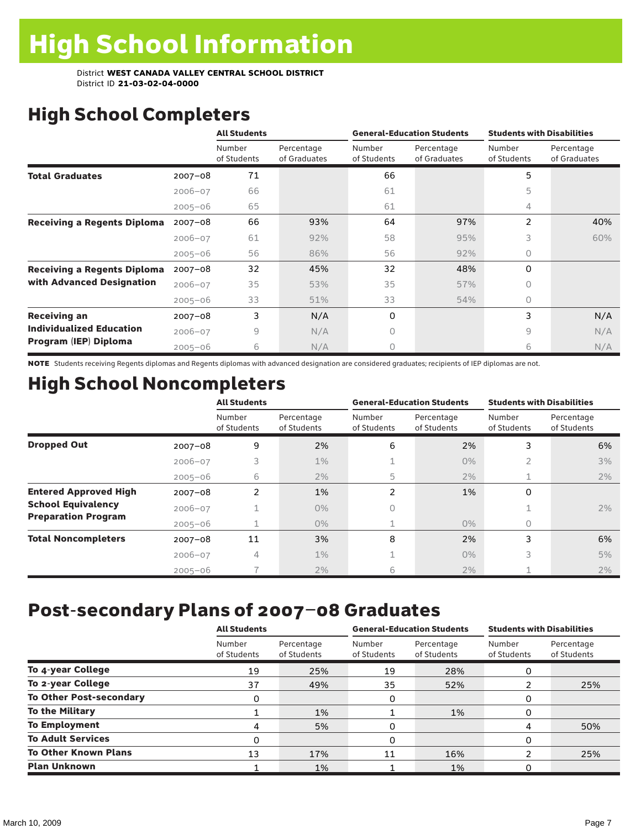# High School Completers

|                                    |             | <b>All Students</b>   |                            |                       | <b>General-Education Students</b> | <b>Students with Disabilities</b> |                            |  |
|------------------------------------|-------------|-----------------------|----------------------------|-----------------------|-----------------------------------|-----------------------------------|----------------------------|--|
|                                    |             | Number<br>of Students | Percentage<br>of Graduates | Number<br>of Students | Percentage<br>of Graduates        | Number<br>of Students             | Percentage<br>of Graduates |  |
| <b>Total Graduates</b>             | $2007 - 08$ | 71                    |                            | 66                    |                                   | 5                                 |                            |  |
|                                    | $2006 - 07$ | 66                    |                            | 61                    |                                   | 5                                 |                            |  |
|                                    | $2005 - 06$ | 65                    |                            | 61                    |                                   | 4                                 |                            |  |
| <b>Receiving a Regents Diploma</b> | $2007 - 08$ | 66                    | 93%                        | 64                    | 97%                               | $\overline{2}$                    | 40%                        |  |
|                                    | $2006 - 07$ | 61                    | 92%                        | 58                    | 95%                               | 3                                 | 60%                        |  |
|                                    | $2005 - 06$ | 56                    | 86%                        | 56                    | 92%                               | $\circ$                           |                            |  |
| <b>Receiving a Regents Diploma</b> | $2007 - 08$ | 32                    | 45%                        | 32                    | 48%                               | $\Omega$                          |                            |  |
| with Advanced Designation          | $2006 - 07$ | 35                    | 53%                        | 35                    | 57%                               | $\Omega$                          |                            |  |
|                                    | $2005 - 06$ | 33                    | 51%                        | 33                    | 54%                               | $\bigcap$                         |                            |  |
| <b>Receiving an</b>                | $2007 - 08$ | 3                     | N/A                        | 0                     |                                   | 3                                 | N/A                        |  |
| <b>Individualized Education</b>    | $2006 - 07$ | 9                     | N/A                        | 0                     |                                   | 9                                 | N/A                        |  |
| Program (IEP) Diploma              | $2005 - 06$ | 6                     | N/A                        | 0                     |                                   | 6                                 | N/A                        |  |

NOTE Students receiving Regents diplomas and Regents diplomas with advanced designation are considered graduates; recipients of IEP diplomas are not.

# High School Noncompleters

|                              |             | <b>All Students</b>   |                           |                       | <b>General-Education Students</b> | <b>Students with Disabilities</b> |                           |  |  |
|------------------------------|-------------|-----------------------|---------------------------|-----------------------|-----------------------------------|-----------------------------------|---------------------------|--|--|
|                              |             | Number<br>of Students | Percentage<br>of Students | Number<br>of Students | Percentage<br>of Students         | Number<br>of Students             | Percentage<br>of Students |  |  |
| <b>Dropped Out</b>           | $2007 - 08$ | 9                     | 2%                        | 6                     | 2%                                | 3                                 | 6%                        |  |  |
|                              | $2006 - 07$ | 3                     | $1\%$                     |                       | $0\%$                             | 2                                 | 3%                        |  |  |
|                              | $2005 - 06$ | 6                     | 2%                        | 5                     | 2%                                | 1                                 | 2%                        |  |  |
| <b>Entered Approved High</b> | $2007 - 08$ | 2                     | 1%                        | $\overline{2}$        | 1%                                | 0                                 |                           |  |  |
| <b>School Equivalency</b>    | $2006 - 07$ |                       | $0\%$                     | 0                     |                                   |                                   | 2%                        |  |  |
| <b>Preparation Program</b>   | $2005 - 06$ |                       | $0\%$                     |                       | $0\%$                             | 0                                 |                           |  |  |
| <b>Total Noncompleters</b>   | $2007 - 08$ | 11                    | 3%                        | 8                     | 2%                                | 3                                 | 6%                        |  |  |
|                              | $2006 - 07$ | 4                     | 1%                        |                       | $0\%$                             | 3                                 | 5%                        |  |  |
|                              | $2005 - 06$ |                       | 2%                        | 6                     | 2%                                |                                   | 2%                        |  |  |

# Post-secondary Plans of 2007–08 Graduates

|                                | <b>All Students</b>   |                           |                       | <b>General-Education Students</b> | <b>Students with Disabilities</b> |                           |  |
|--------------------------------|-----------------------|---------------------------|-----------------------|-----------------------------------|-----------------------------------|---------------------------|--|
|                                | Number<br>of Students | Percentage<br>of Students | Number<br>of Students | Percentage<br>of Students         | Number<br>of Students             | Percentage<br>of Students |  |
| To 4-year College              | 19                    | 25%                       | 19                    | 28%                               | O                                 |                           |  |
| To 2-year College              | 37                    | 49%                       | 35                    | 52%                               |                                   | 25%                       |  |
| <b>To Other Post-secondary</b> | 0                     |                           | 0                     |                                   | 0                                 |                           |  |
| <b>To the Military</b>         |                       | 1%                        |                       | 1%                                | 0                                 |                           |  |
| <b>To Employment</b>           | 4                     | 5%                        | 0                     |                                   | 4                                 | 50%                       |  |
| <b>To Adult Services</b>       | 0                     |                           | 0                     |                                   | O                                 |                           |  |
| <b>To Other Known Plans</b>    | 13                    | 17%                       | 11                    | 16%                               | າ                                 | 25%                       |  |
| <b>Plan Unknown</b>            |                       | 1%                        |                       | 1%                                |                                   |                           |  |